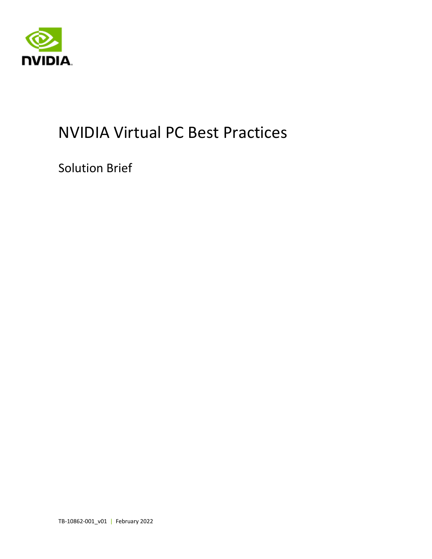

# NVIDIA Virtual PC Best Practices

Solution Brief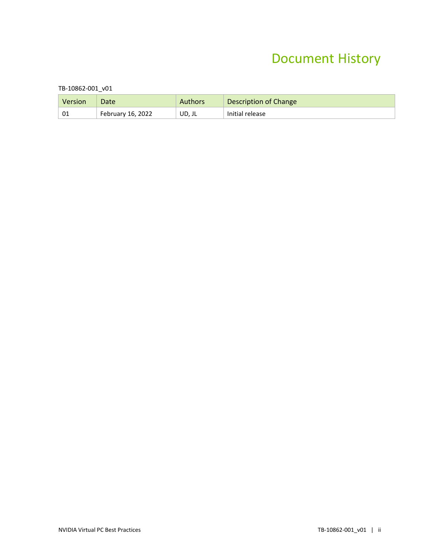#### Document History

#### TB-10862-001\_v01

| Version | Date              | <b>Authors</b> | Description of Change |
|---------|-------------------|----------------|-----------------------|
| 01      | February 16, 2022 | UD, JL         | Initial release       |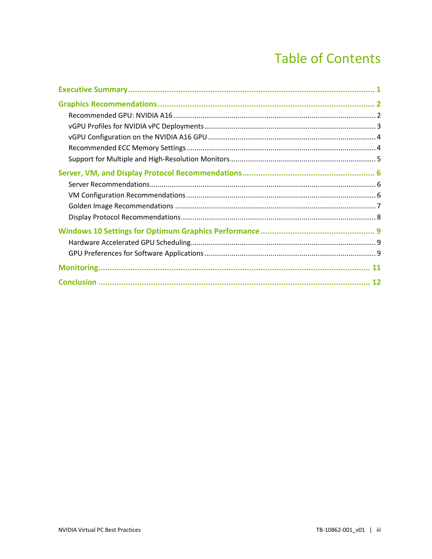### **Table of Contents**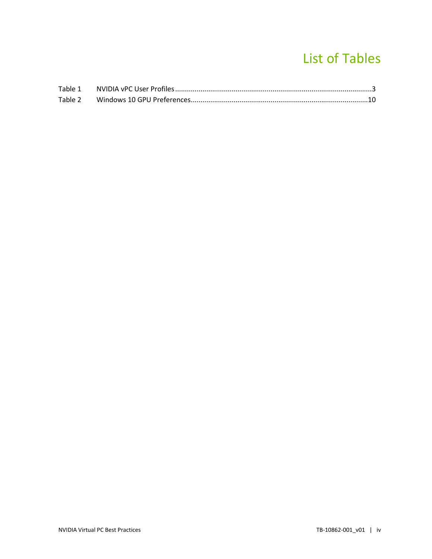### List of Tables

| Table 1 |  |
|---------|--|
| Table 2 |  |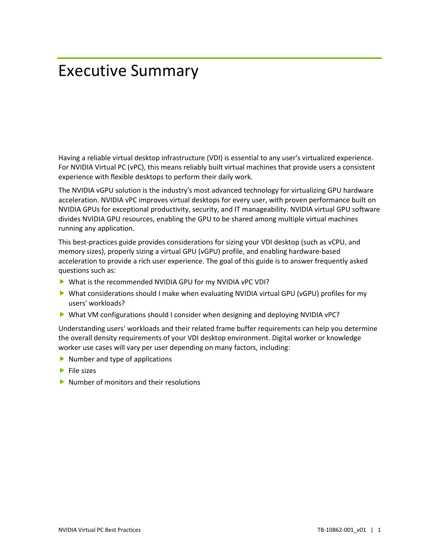## <span id="page-4-0"></span>Executive Summary

Having a reliable virtual desktop infrastructure (VDI) is essential to any user's virtualized experience. For NVIDIA Virtual PC (vPC), this means reliably built virtual machines that provide users a consistent experience with flexible desktops to perform their daily work.

The NVIDIA vGPU solution is the industry's most advanced technology for virtualizing GPU hardware acceleration. NVIDIA vPC improves virtual desktops for every user, with proven performance built on NVIDIA GPUs for exceptional productivity, security, and IT manageability. NVIDIA virtual GPU software divides NVIDIA GPU resources, enabling the GPU to be shared among multiple virtual machines running any application.

This best-practices guide provides considerations for sizing your VDI desktop (such as vCPU, and memory sizes), properly sizing a virtual GPU (vGPU) profile, and enabling hardware-based acceleration to provide a rich user experience. The goal of this guide is to answer frequently asked questions such as:

- What is the recommended NVIDIA GPU for my NVIDIA vPC VDI?
- ▶ What considerations should I make when evaluating NVIDIA virtual GPU (vGPU) profiles for my users' workloads?
- What VM configurations should I consider when designing and deploying NVIDIA vPC?

Understanding users' workloads and their related frame buffer requirements can help you determine the overall density requirements of your VDI desktop environment. Digital worker or knowledge worker use cases will vary per user depending on many factors, including:

- $\blacktriangleright$  Number and type of applications
- $\blacktriangleright$  File sizes
- $\triangleright$  Number of monitors and their resolutions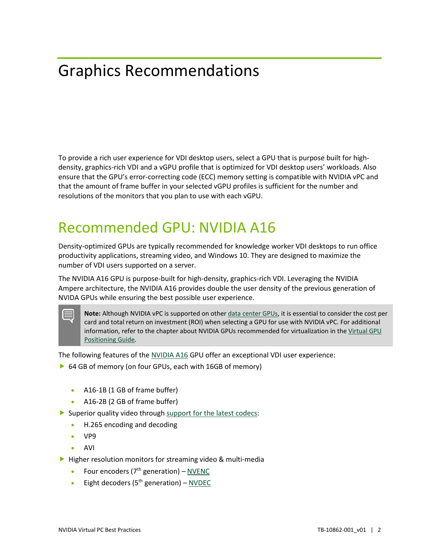# <span id="page-5-0"></span>Graphics Recommendations

To provide a rich user experience for VDI desktop users, select a GPU that is purpose built for highdensity, graphics-rich VDI and a vGPU profile that is optimized for VDI desktop users' workloads. Also ensure that the GPU's error-correcting code (ECC) memory setting is compatible with NVIDIA vPC and that the amount of frame buffer in your selected vGPU profiles is sufficient for the number and resolutions of the monitors that you plan to use with each vGPU.

#### <span id="page-5-1"></span>Recommended GPU: NVIDIA A16

Density-optimized GPUs are typically recommended for knowledge worker VDI desktops to run office productivity applications, streaming video, and Windows 10. They are designed to maximize the number of VDI users supported on a server.

The NVIDIA A16 GPU is purpose-built for high-density, graphics-rich VDI. Leveraging the NVIDIA Ampere architecture, the NVIDIA A16 provides double the user density of the previous generation of NVIDA GPUs while ensuring the best possible user experience.

Note: Although NVIDIA vPC is supported on other [data center GPUs,](https://images.nvidia.com/content/pdf/grid/data-sheet/nvidia-virtualization-gpu-linecard.pdf) it is essential to consider the cost per card and total return on investment (ROI) when selecting a GPU for use with NVIDIA vPC. For additional information, refer to the chapter about NVIDIA GPUs recommended for virtualization in the [Virtual GPU](https://www.nvidia.com/content/dam/en-zz/Solutions/design-visualization/solutions/resources/documents1/Tech-Brief-Virtual-GPU-Positioning.pdf)  [Positioning Guide.](https://www.nvidia.com/content/dam/en-zz/Solutions/design-visualization/solutions/resources/documents1/Tech-Brief-Virtual-GPU-Positioning.pdf)

The following features of the [NVIDIA A16](https://www.nvidia.com/en-us/data-center/products/a16-gpu/) GPU offer an exceptional VDI user experience:

- ▶ 64 GB of memory (on four GPUs, each with 16GB of memory)
	- A16-1B (1 GB of frame buffer)
	- A16-2B (2 GB of frame buffer)
- Superior quality video through support [for the latest codecs:](https://developer.nvidia.com/nvidia-video-codec-sdk)
	- H.265 encoding and decoding
	- VP9
	- AVI
- $\blacktriangleright$  Higher resolution monitors for streaming video & multi-media
	- Four encoders  $(7<sup>th</sup>$  generation)  [NVENC](https://developer.nvidia.com/nvidia-video-codec-sdk#NVENCFeatures)
	- Eight decoders ( $5<sup>th</sup>$  generation)  [NVDEC](https://developer.nvidia.com/nvidia-video-codec-sdk#NVDECFeatures)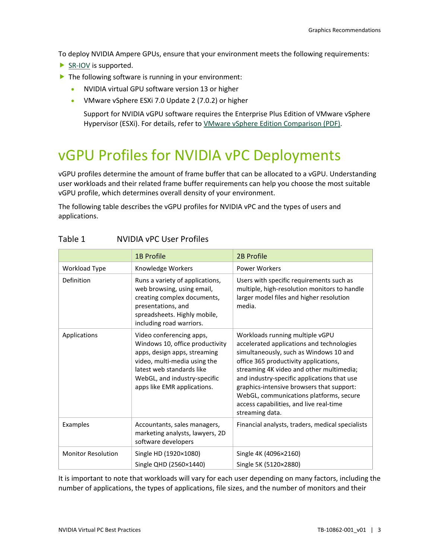To deploy NVIDIA Ampere GPUs, ensure that your environment meets the following requirements:

- ▶ [SR-IOV](https://docs.nvidia.com/grid/13.0/grid-vgpu-user-guide/index.html#features-grid-vgpu) is supported.
- $\blacktriangleright$  The following software is running in your environment:
	- NVIDIA virtual GPU software version 13 or higher
	- VMware vSphere ESXi 7.0 Update 2 (7.0.2) or higher

Support for NVIDIA vGPU software requires the Enterprise Plus Edition of VMware vSphere Hypervisor (ESXi). For details, refer to [VMware vSphere Edition Comparison \(PDF\).](https://www.vmware.com/content/dam/digitalmarketing/vmware/en/pdf/products/vsphere/vmw-edition-comparison.pdf)

### <span id="page-6-0"></span>vGPU Profiles for NVIDIA vPC Deployments

vGPU profiles determine the amount of frame buffer that can be allocated to a vGPU. Understanding user workloads and their related frame buffer requirements can help you choose the most suitable vGPU profile, which determines overall density of your environment.

The following table describes the vGPU profiles for NVIDIA vPC and the types of users and applications.

|                           | <b>1B Profile</b>                                                                                                                                                                                                       | <b>2B Profile</b>                                                                                                                                                                                                                                                                                                                                                                                                |
|---------------------------|-------------------------------------------------------------------------------------------------------------------------------------------------------------------------------------------------------------------------|------------------------------------------------------------------------------------------------------------------------------------------------------------------------------------------------------------------------------------------------------------------------------------------------------------------------------------------------------------------------------------------------------------------|
| Workload Type             | Knowledge Workers                                                                                                                                                                                                       | <b>Power Workers</b>                                                                                                                                                                                                                                                                                                                                                                                             |
| Definition                | Runs a variety of applications,<br>web browsing, using email,<br>creating complex documents,<br>presentations, and<br>spreadsheets. Highly mobile,<br>including road warriors.                                          | Users with specific requirements such as<br>multiple, high-resolution monitors to handle<br>larger model files and higher resolution<br>media.                                                                                                                                                                                                                                                                   |
| Applications              | Video conferencing apps,<br>Windows 10, office productivity<br>apps, design apps, streaming<br>video, multi-media using the<br>latest web standards like<br>WebGL, and industry-specific<br>apps like EMR applications. | Workloads running multiple vGPU<br>accelerated applications and technologies<br>simultaneously, such as Windows 10 and<br>office 365 productivity applications,<br>streaming 4K video and other multimedia;<br>and industry-specific applications that use<br>graphics-intensive browsers that support:<br>WebGL, communications platforms, secure<br>access capabilities, and live real-time<br>streaming data. |
| Examples                  | Accountants, sales managers,<br>marketing analysts, lawyers, 2D<br>software developers                                                                                                                                  | Financial analysts, traders, medical specialists                                                                                                                                                                                                                                                                                                                                                                 |
| <b>Monitor Resolution</b> | Single HD (1920×1080)<br>Single QHD (2560×1440)                                                                                                                                                                         | Single 4K (4096×2160)<br>Single 5K (5120×2880)                                                                                                                                                                                                                                                                                                                                                                   |

#### <span id="page-6-1"></span>Table 1 NVIDIA vPC User Profiles

It is important to note that workloads will vary for each user depending on many factors, including the number of applications, the types of applications, file sizes, and the number of monitors and their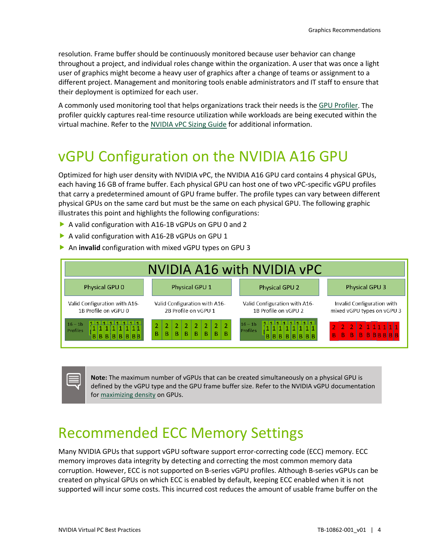resolution. Frame buffer should be continuously monitored because user behavior can change throughout a project, and individual roles change within the organization. A user that was once a light user of graphics might become a heavy user of graphics after a change of teams or assignment to a different project. Management and monitoring tools enable administrators and IT staff to ensure that their deployment is optimized for each user.

A commonly used monitoring tool that helps organizations track their needs is the [GPU Profiler.](https://github.com/JeremyMain/GPUProfiler/releases) The profiler quickly captures real-time resource utilization while workloads are being executed within the virtual machine. Refer to the [NVIDIA vPC Sizing Guide](https://www.nvidia.com/content/dam/en-zz/Solutions/design-visualization/solutions/resources/documents1/Application-Sizing-Guide-NVIDIA-GRID-Virtual-PC.pdf) for additional information.

#### <span id="page-7-0"></span>vGPU Configuration on the NVIDIA A16 GPU

Optimized for high user density with NVIDIA vPC, the NVIDIA A16 GPU card contains 4 physical GPUs, each having 16 GB of frame buffer. Each physical GPU can host one of two vPC-specific vGPU profiles that carry a predetermined amount of GPU frame buffer. The profile types can vary between different physical GPUs on the same card but must be the same on each physical GPU. The following graphic illustrates this point and highlights the following configurations:

- A valid configuration with A16-1B vGPUs on GPU 0 and 2
- A valid configuration with A16-2B vGPUs on GPU 1
- An **invalid** configuration with mixed vGPU types on GPU 3



**Note:** The maximum number of vGPUs that can be created simultaneously on a physical GPU is defined by the vGPU type and the GPU frame buffer size. Refer to the NVIDIA vGPU documentation for [maximizing density](https://docs.nvidia.com/grid/13.0/grid-vgpu-user-guide/index.html#vgpu-types-nvidia-a16) on GPUs.

#### <span id="page-7-1"></span>Recommended ECC Memory Settings

Many NVIDIA GPUs that support vGPU software support error-correcting code (ECC) memory. ECC memory improves data integrity by detecting and correcting the most common memory data corruption. However, ECC is not supported on B-series vGPU profiles. Although B-series vGPUs can be created on physical GPUs on which ECC is enabled by default, keeping ECC enabled when it is not supported will incur some costs. This incurred cost reduces the amount of usable frame buffer on the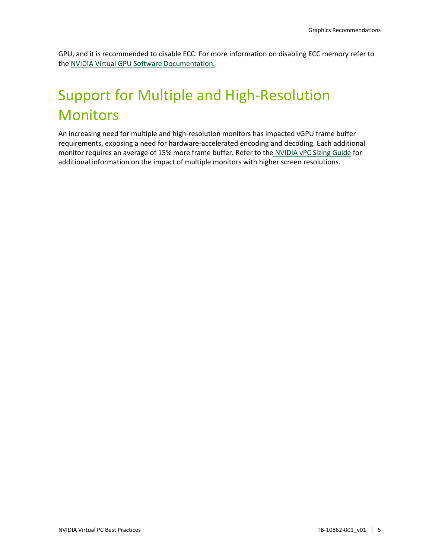GPU, and it is recommended to disable ECC. For more information on disabling ECC memory refer to the [NVIDIA Virtual GPU Software Documentation.](https://docs.nvidia.com/grid/latest/grid-vgpu-user-guide/index.html#disabling-enabling-ecc-memory)

# <span id="page-8-0"></span>Support for Multiple and High-Resolution Monitors

An increasing need for multiple and high-resolution monitors has impacted vGPU frame buffer requirements, exposing a need for hardware-accelerated encoding and decoding. Each additional monitor requires an average of 15% more frame buffer. Refer to the [NVIDIA vPC Sizing Guide](https://www.nvidia.com/content/dam/en-zz/Solutions/design-visualization/solutions/resources/documents1/Application-Sizing-Guide-NVIDIA-GRID-Virtual-PC.pdf) for additional information on the impact of multiple monitors with higher screen resolutions.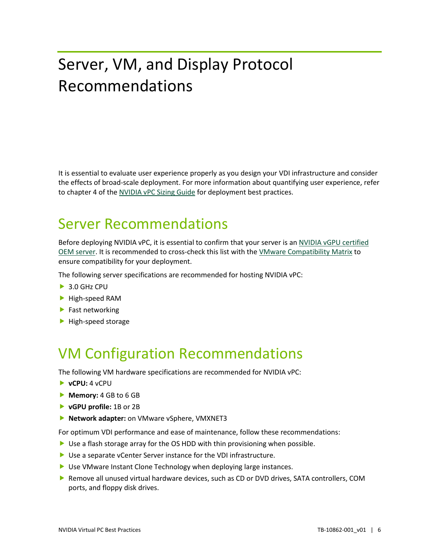# <span id="page-9-0"></span>Server, VM, and Display Protocol Recommendations

It is essential to evaluate user experience properly as you design your VDI infrastructure and consider the effects of broad-scale deployment. For more information about quantifying user experience, refer to chapter 4 of the [NVIDIA vPC Sizing Guide](https://www.nvidia.com/content/dam/en-zz/Solutions/design-visualization/solutions/resources/documents1/Application-Sizing-Guide-NVIDIA-GRID-Virtual-PC.pdf) for deployment best practices.

#### <span id="page-9-1"></span>Server Recommendations

Before deploying NVIDIA vPC, it is essential to confirm that your server is an [NVIDIA vGPU certified](https://www.nvidia.com/en-us/data-center/resources/vgpu-certified-servers/) [OEM server.](https://www.nvidia.com/en-us/data-center/resources/vgpu-certified-servers/) It is recommended to cross-check this list with the [VMware Compatibility Matrix](https://www.vmware.com/resources/compatibility/search.php?deviceCategory=sptg) to ensure compatibility for your deployment.

The following server specifications are recommended for hosting NVIDIA vPC:

- ▶ 3.0 GHz CPU
- High-speed RAM
- $\blacktriangleright$  Fast networking
- <span id="page-9-2"></span> $\blacktriangleright$  High-speed storage

## VM Configuration Recommendations

The following VM hardware specifications are recommended for NVIDIA vPC:

- **vCPU:** 4 vCPU
- **Memory:** 4 GB to 6 GB
- **vGPU profile:** 1B or 2B
- **Network adapter:** on VMware vSphere, VMXNET3

For optimum VDI performance and ease of maintenance, follow these recommendations:

- $\triangleright$  Use a flash storage array for the OS HDD with thin provisioning when possible.
- ▶ Use a separate vCenter Server instance for the VDI infrastructure.
- ▶ Use VMware Instant Clone Technology when deploying large instances.
- Remove all unused virtual hardware devices, such as CD or DVD drives, SATA controllers, COM ports, and floppy disk drives.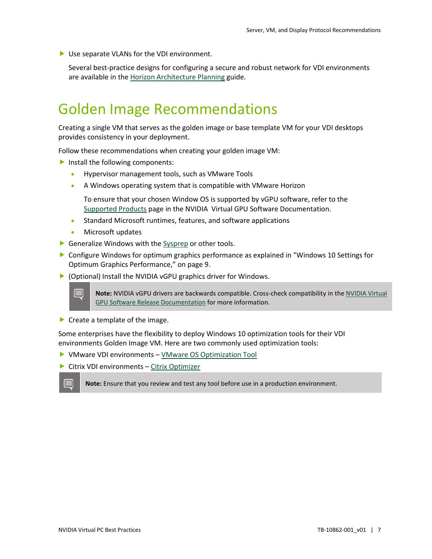▶ Use separate VLANs for the VDI environment.

Several best-practice designs for configuring a secure and robust network for VDI environments are available in th[e Horizon Architecture Planning](https://docs.vmware.com/en/VMware-Horizon/2106/horizon-architecture-planning/GUID-5CC0B95F-7B92-4C60-A2F2-B932FB425F0C.html) guide.

#### <span id="page-10-0"></span>Golden Image Recommendations

Creating a single VM that serves as the golden image or base template VM for your VDI desktops provides consistency in your deployment.

Follow these recommendations when creating your golden image VM:

- Install the following components:
	- Hypervisor management tools, such as VMware Tools
	- A Windows operating system that is compatible with VMware Horizon

To ensure that your chosen Window OS is supported by vGPU software, refer to the [Supported Products](https://docs.nvidia.com/grid/latest/product-support-matrix/index.html) page in the NVIDIA Virtual GPU Software Documentation.

- Standard Microsoft runtimes, features, and software applications
- Microsoft updates
- Generalize Windows with the [Sysprep](https://docs.microsoft.com/en-us/windows-hardware/manufacture/desktop/sysprep--generalize--a-windows-installation) or other tools.
- Configure Windows for optimum graphics performance as explained in ["Windows 10](#page-12-0) Settings for [Optimum Graphics Performance,](#page-12-0)" on page 9.
- (Optional) Install the NVIDIA vGPU graphics driver for Windows.

**Note:** NVIDIA vGPU drivers are backwards compatible. Cross-check compatibility in th[e NVIDIA Virtual](https://docs.nvidia.com/grid/)  [GPU Software Release Documentation](https://docs.nvidia.com/grid/) for more information.

 $\blacktriangleright$  Create a template of the image.

Some enterprises have the flexibility to deploy Windows 10 optimization tools for their VDI environments Golden Image VM. Here are two commonly used optimization tools:

- ▶ VMware VDI environments  [VMware OS Optimization Tool](https://flings.vmware.com/vmware-os-optimization-tool)
- ▶ Citrix VDI environments – [Citrix Optimizer](https://support.citrix.com/article/CTX224676)

**Note:** Ensure that you review and test any tool before use in a production environment.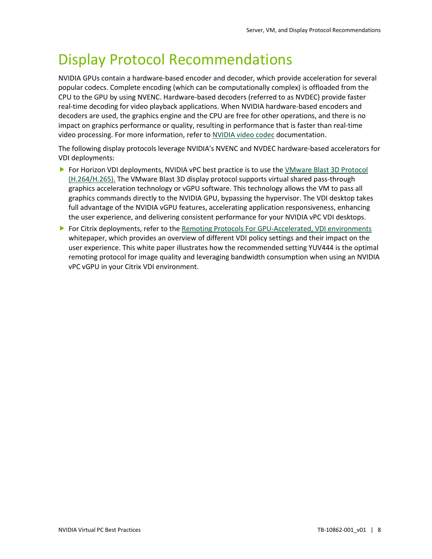### <span id="page-11-0"></span>Display Protocol Recommendations

NVIDIA GPUs contain a hardware-based encoder and decoder, which provide acceleration for several popular codecs. Complete encoding (which can be computationally complex) is offloaded from the CPU to the GPU by using NVENC. Hardware-based decoders (referred to as NVDEC) provide faster real-time decoding for video playback applications. When NVIDIA hardware-based encoders and decoders are used, the graphics engine and the CPU are free for other operations, and there is no impact on graphics performance or quality, resulting in performance that is faster than real-time video processing. For more information, refer to [NVIDIA video codec](https://developer.nvidia.com/nvidia-video-codec-sdk) documentation.

The following display protocols leverage NVIDIA's NVENC and NVDEC hardware-based accelerators for VDI deployments:

- ▶ For Horizon VDI deployments, NVIDIA vPC best practice is to use the VMware Blast 3D Protocol [\(H.264/H.265\).](https://www.vmware.com/products/horizon/vgpu-blast-performance.html) The VMware Blast 3D display protocol supports virtual shared pass-through graphics acceleration technology or vGPU software. This technology allows the VM to pass all graphics commands directly to the NVIDIA GPU, bypassing the hypervisor. The VDI desktop takes full advantage of the NVIDIA vGPU features, accelerating application responsiveness, enhancing the user experience, and delivering consistent performance for your NVIDIA vPC VDI desktops.
- **For Citrix deployments, refer to th[e Remoting Protocols For GPU-Accelerated, VDI environments](https://www.nvidia.com/content/dam/en-zz/Solutions/design-visualization/solutions/resources/documents1/NVIDIA-vgpu-choosing-the-right-remoting-protocol-whitepaper.pdf)** whitepaper, which provides an overview of different VDI policy settings and their impact on the user experience. This white paper illustrates how the recommended setting YUV444 is the optimal remoting protocol for image quality and leveraging bandwidth consumption when using an NVIDIA vPC vGPU in your Citrix VDI environment.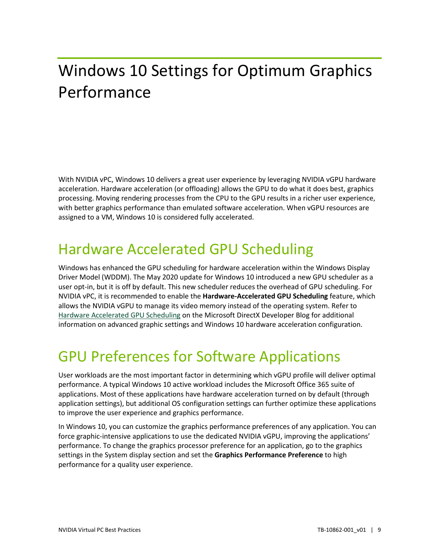# <span id="page-12-0"></span>Windows 10 Settings for Optimum Graphics Performance

With NVIDIA vPC, Windows 10 delivers a great user experience by leveraging NVIDIA vGPU hardware acceleration. Hardware acceleration (or offloading) allows the GPU to do what it does best, graphics processing. Moving rendering processes from the CPU to the GPU results in a richer user experience, with better graphics performance than emulated software acceleration. When vGPU resources are assigned to a VM, Windows 10 is considered fully accelerated.

### <span id="page-12-1"></span>Hardware Accelerated GPU Scheduling

Windows has enhanced the GPU scheduling for hardware acceleration within the Windows Display Driver Model (WDDM). The May 2020 update for Windows 10 introduced a new GPU scheduler as a user opt-in, but it is off by default. This new scheduler reduces the overhead of GPU scheduling. For NVIDIA vPC, it is recommended to enable the **Hardware-Accelerated GPU Scheduling** feature, which allows the NVIDIA vGPU to manage its video memory instead of the operating system. Refer to [Hardware Accelerated GPU Scheduling](https://devblogs.microsoft.com/directx/hardware-accelerated-gpu-scheduling/) on the Microsoft DirectX Developer Blog for additional information on advanced graphic settings and Windows 10 hardware acceleration configuration.

## <span id="page-12-2"></span>GPU Preferences for Software Applications

User workloads are the most important factor in determining which vGPU profile will deliver optimal performance. A typical Windows 10 active workload includes the Microsoft Office 365 suite of applications. Most of these applications have hardware acceleration turned on by default (through application settings), but additional OS configuration settings can further optimize these applications to improve the user experience and graphics performance.

In Windows 10, you can customize the graphics performance preferences of any application. You can force graphic-intensive applications to use the dedicated NVIDIA vGPU, improving the applications' performance. To change the graphics processor preference for an application, go to the graphics settings in the System display section and set the **Graphics Performance Preference** to high performance for a quality user experience.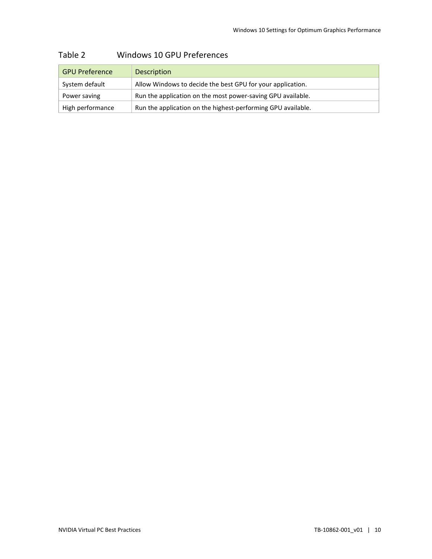| <b>GPU Preference</b> | <b>Description</b>                                           |
|-----------------------|--------------------------------------------------------------|
| System default        | Allow Windows to decide the best GPU for your application.   |
| Power saving          | Run the application on the most power-saving GPU available.  |
| High performance      | Run the application on the highest-performing GPU available. |

#### <span id="page-13-0"></span>Table 2 Windows 10 GPU Preferences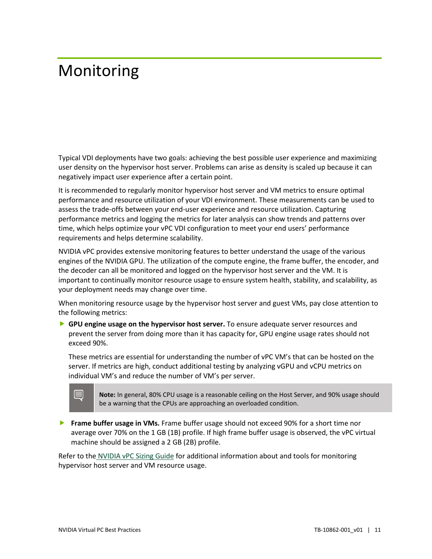## <span id="page-14-0"></span>Monitoring

Typical VDI deployments have two goals: achieving the best possible user experience and maximizing user density on the hypervisor host server. Problems can arise as density is scaled up because it can negatively impact user experience after a certain point.

It is recommended to regularly monitor hypervisor host server and VM metrics to ensure optimal performance and resource utilization of your VDI environment. These measurements can be used to assess the trade-offs between your end-user experience and resource utilization. Capturing performance metrics and logging the metrics for later analysis can show trends and patterns over time, which helps optimize your vPC VDI configuration to meet your end users' performance requirements and helps determine scalability.

NVIDIA vPC provides extensive monitoring features to better understand the usage of the various engines of the NVIDIA GPU. The utilization of the compute engine, the frame buffer, the encoder, and the decoder can all be monitored and logged on the hypervisor host server and the VM. It is important to continually monitor resource usage to ensure system health, stability, and scalability, as your deployment needs may change over time.

When monitoring resource usage by the hypervisor host server and guest VMs, pay close attention to the following metrics:

 **GPU engine usage on the hypervisor host server.** To ensure adequate server resources and prevent the server from doing more than it has capacity for, GPU engine usage rates should not exceed 90%.

These metrics are essential for understanding the number of vPC VM's that can be hosted on the server. If metrics are high, conduct additional testing by analyzing vGPU and vCPU metrics on individual VM's and reduce the number of VM's per server.



**Note:** In general, 80% CPU usage is a reasonable ceiling on the Host Server, and 90% usage should be a warning that the CPUs are approaching an overloaded condition.

**Frame buffer usage in VMs.** Frame buffer usage should not exceed 90% for a short time nor average over 70% on the 1 GB (1B) profile. If high frame buffer usage is observed, the vPC virtual machine should be assigned a 2 GB (2B) profile.

Refer to the [NVIDIA vPC Sizing Guide](https://www.nvidia.com/content/dam/en-zz/Solutions/design-visualization/solutions/resources/documents1/Application-Sizing-Guide-NVIDIA-GRID-Virtual-PC.pdf) for additional information about and tools for monitoring hypervisor host server and VM resource usage.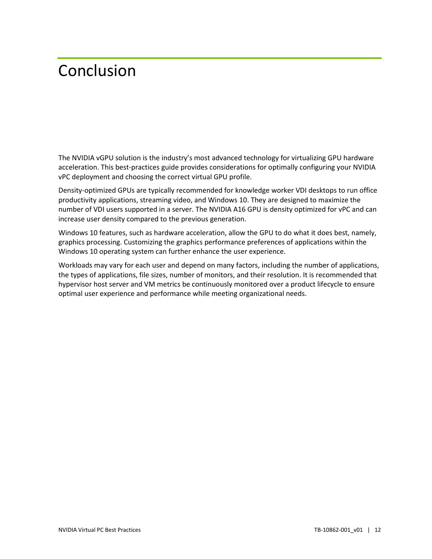## <span id="page-15-0"></span>Conclusion

The NVIDIA vGPU solution is the industry's most advanced technology for virtualizing GPU hardware acceleration. This best-practices guide provides considerations for optimally configuring your NVIDIA vPC deployment and choosing the correct virtual GPU profile.

Density-optimized GPUs are typically recommended for knowledge worker VDI desktops to run office productivity applications, streaming video, and Windows 10. They are designed to maximize the number of VDI users supported in a server. The NVIDIA A16 GPU is density optimized for vPC and can increase user density compared to the previous generation.

Windows 10 features, such as hardware acceleration, allow the GPU to do what it does best, namely, graphics processing. Customizing the graphics performance preferences of applications within the Windows 10 operating system can further enhance the user experience.

Workloads may vary for each user and depend on many factors, including the number of applications, the types of applications, file sizes, number of monitors, and their resolution. It is recommended that hypervisor host server and VM metrics be continuously monitored over a product lifecycle to ensure optimal user experience and performance while meeting organizational needs.